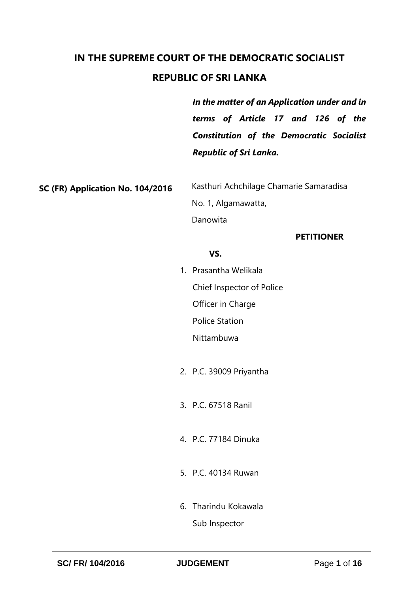# **IN THE SUPREME COURT OF THE DEMOCRATIC SOCIALIST REPUBLIC OF SRI LANKA**

*In the matter of an Application under and in terms of Article 17 and 126 of the Constitution of the Democratic Socialist Republic of Sri Lanka.*

**SC (FR) Application No. 104/2016**

 Kasthuri Achchilage Chamarie Samaradisa No. 1, Algamawatta, Danowita

## **PETITIONER**

## *VS.* The state of  $\mathbf{V}$

- 1. Prasantha Welikala Chief Inspector of Police Officer in Charge Police Station Nittambuwa
- 2. P.C. 39009 Priyantha
- 3. P.C. 67518 Ranil
- 4. P.C. 77184 Dinuka
- 5. P.C. 40134 Ruwan
- 6. Tharindu Kokawala Sub Inspector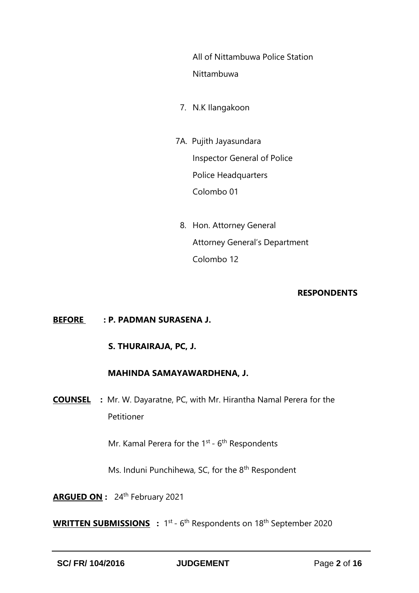All of Nittambuwa Police Station Nittambuwa

- 7. N.K Ilangakoon
- 7A. Pujith Jayasundara Inspector General of Police Police Headquarters Colombo 01
	- 8. Hon. Attorney General Attorney General's Department Colombo 12

#### **RESPONDENTS**

## **BEFORE : P. PADMAN SURASENA J.**

## **S. THURAIRAJA, PC, J.**

## **MAHINDA SAMAYAWARDHENA, J.**

**COUNSEL :** Mr. W. Dayaratne, PC, with Mr. Hirantha Namal Perera for the Petitioner

Mr. Kamal Perera for the 1<sup>st</sup> - 6<sup>th</sup> Respondents

Ms. Induni Punchihewa, SC, for the 8<sup>th</sup> Respondent

**ARGUED ON :** 24th February 2021

WRITTEN SUBMISSIONS : 1<sup>st</sup> - 6<sup>th</sup> Respondents on 18<sup>th</sup> September 2020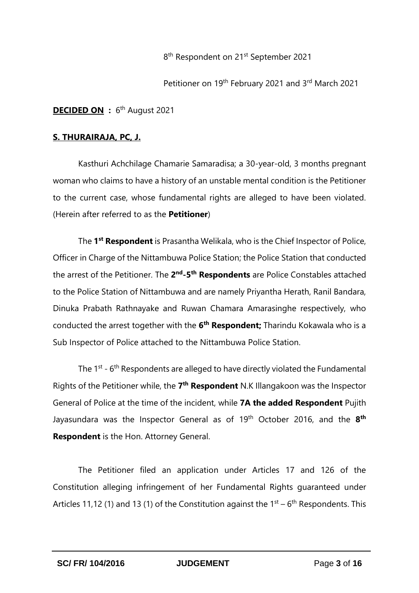8<sup>th</sup> Respondent on 21<sup>st</sup> September 2021

Petitioner on 19th February 2021 and 3rd March 2021

**DECIDED ON** : 6<sup>th</sup> August 2021

### **S. THURAIRAJA, PC, J.**

Kasthuri Achchilage Chamarie Samaradisa; a 30-year-old, 3 months pregnant woman who claims to have a history of an unstable mental condition is the Petitioner to the current case, whose fundamental rights are alleged to have been violated. (Herein after referred to as the **Petitioner**)

The **1 st Respondent** is Prasantha Welikala, who is the Chief Inspector of Police, Officer in Charge of the Nittambuwa Police Station; the Police Station that conducted the arrest of the Petitioner. The 2<sup>nd</sup>-5<sup>th</sup> Respondents are Police Constables attached to the Police Station of Nittambuwa and are namely Priyantha Herath, Ranil Bandara, Dinuka Prabath Rathnayake and Ruwan Chamara Amarasinghe respectively, who conducted the arrest together with the **6 th Respondent;** Tharindu Kokawala who is a Sub Inspector of Police attached to the Nittambuwa Police Station.

The 1<sup>st</sup> - 6<sup>th</sup> Respondents are alleged to have directly violated the Fundamental Rights of the Petitioner while, the 7<sup>th</sup> Respondent N.K Illangakoon was the Inspector General of Police at the time of the incident, while **7A the added Respondent** Pujith Jayasundara was the Inspector General as of 19th October 2016, and the **8 th Respondent** is the Hon. Attorney General.

The Petitioner filed an application under Articles 17 and 126 of the Constitution alleging infringement of her Fundamental Rights guaranteed under Articles 11,12 (1) and 13 (1) of the Constitution against the  $1<sup>st</sup> - 6<sup>th</sup>$  Respondents. This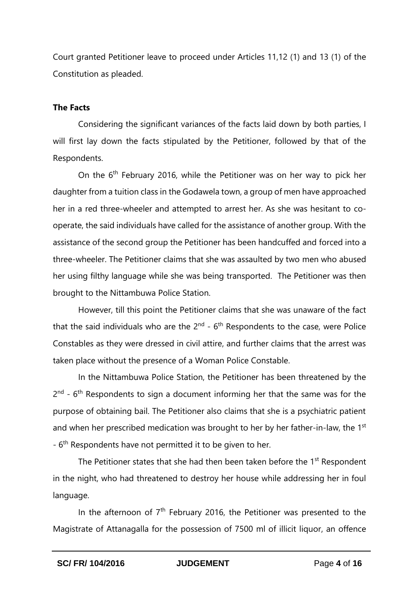Court granted Petitioner leave to proceed under Articles 11,12 (1) and 13 (1) of the Constitution as pleaded.

#### **The Facts**

Considering the significant variances of the facts laid down by both parties, I will first lay down the facts stipulated by the Petitioner, followed by that of the Respondents.

On the 6<sup>th</sup> February 2016, while the Petitioner was on her way to pick her daughter from a tuition class in the Godawela town, a group of men have approached her in a red three-wheeler and attempted to arrest her. As she was hesitant to cooperate, the said individuals have called for the assistance of another group. With the assistance of the second group the Petitioner has been handcuffed and forced into a three-wheeler. The Petitioner claims that she was assaulted by two men who abused her using filthy language while she was being transported. The Petitioner was then brought to the Nittambuwa Police Station.

However, till this point the Petitioner claims that she was unaware of the fact that the said individuals who are the  $2^{nd}$  -  $6^{th}$  Respondents to the case, were Police Constables as they were dressed in civil attire, and further claims that the arrest was taken place without the presence of a Woman Police Constable.

In the Nittambuwa Police Station, the Petitioner has been threatened by the  $2<sup>nd</sup>$  - 6<sup>th</sup> Respondents to sign a document informing her that the same was for the purpose of obtaining bail. The Petitioner also claims that she is a psychiatric patient and when her prescribed medication was brought to her by her father-in-law, the 1<sup>st</sup> - 6<sup>th</sup> Respondents have not permitted it to be given to her.

The Petitioner states that she had then been taken before the 1<sup>st</sup> Respondent in the night, who had threatened to destroy her house while addressing her in foul language.

In the afternoon of  $7<sup>th</sup>$  February 2016, the Petitioner was presented to the Magistrate of Attanagalla for the possession of 7500 ml of illicit liquor, an offence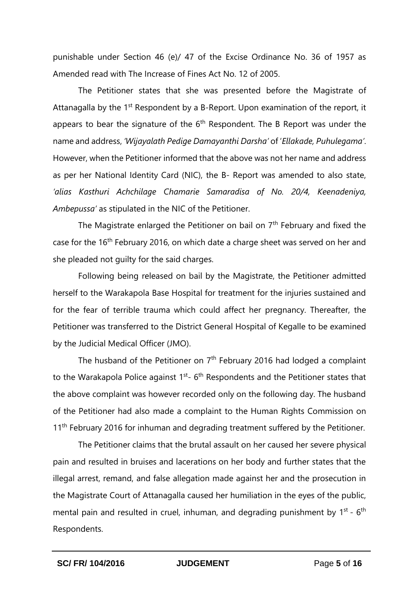punishable under Section 46 (e)/ 47 of the Excise Ordinance No. 36 of 1957 as Amended read with The Increase of Fines Act No. 12 of 2005.

The Petitioner states that she was presented before the Magistrate of Attanagalla by the 1<sup>st</sup> Respondent by a B-Report. Upon examination of the report, it appears to bear the signature of the  $6<sup>th</sup>$  Respondent. The B Report was under the name and address, *'Wijayalath Pedige Damayanthi Darsha'* of '*Ellakade, Puhulegama'*. However, when the Petitioner informed that the above was not her name and address as per her National Identity Card (NIC), the B- Report was amended to also state, *'alias Kasthuri Achchilage Chamarie Samaradisa of No. 20/4, Keenadeniya, Ambepussa'* as stipulated in the NIC of the Petitioner.

The Magistrate enlarged the Petitioner on bail on 7<sup>th</sup> February and fixed the case for the 16<sup>th</sup> February 2016, on which date a charge sheet was served on her and she pleaded not guilty for the said charges.

Following being released on bail by the Magistrate, the Petitioner admitted herself to the Warakapola Base Hospital for treatment for the injuries sustained and for the fear of terrible trauma which could affect her pregnancy. Thereafter, the Petitioner was transferred to the District General Hospital of Kegalle to be examined by the Judicial Medical Officer (JMO).

The husband of the Petitioner on  $7<sup>th</sup>$  February 2016 had lodged a complaint to the Warakapola Police against  $1^{st}$ - 6<sup>th</sup> Respondents and the Petitioner states that the above complaint was however recorded only on the following day. The husband of the Petitioner had also made a complaint to the Human Rights Commission on 11<sup>th</sup> February 2016 for inhuman and degrading treatment suffered by the Petitioner.

The Petitioner claims that the brutal assault on her caused her severe physical pain and resulted in bruises and lacerations on her body and further states that the illegal arrest, remand, and false allegation made against her and the prosecution in the Magistrate Court of Attanagalla caused her humiliation in the eyes of the public, mental pain and resulted in cruel, inhuman, and degrading punishment by 1<sup>st</sup> - 6<sup>th</sup> Respondents.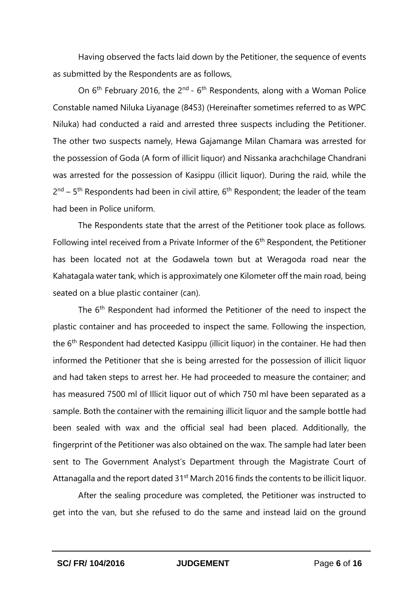Having observed the facts laid down by the Petitioner, the sequence of events as submitted by the Respondents are as follows,

On  $6<sup>th</sup>$  February 2016, the 2<sup>nd</sup> -  $6<sup>th</sup>$  Respondents, along with a Woman Police Constable named Niluka Liyanage (8453) (Hereinafter sometimes referred to as WPC Niluka) had conducted a raid and arrested three suspects including the Petitioner. The other two suspects namely, Hewa Gajamange Milan Chamara was arrested for the possession of Goda (A form of illicit liquor) and Nissanka arachchilage Chandrani was arrested for the possession of Kasippu (illicit liquor). During the raid, while the 2<sup>nd</sup> – 5<sup>th</sup> Respondents had been in civil attire, 6<sup>th</sup> Respondent; the leader of the team had been in Police uniform.

The Respondents state that the arrest of the Petitioner took place as follows. Following intel received from a Private Informer of the  $6<sup>th</sup>$  Respondent, the Petitioner has been located not at the Godawela town but at Weragoda road near the Kahatagala water tank, which is approximately one Kilometer off the main road, being seated on a blue plastic container (can).

The 6<sup>th</sup> Respondent had informed the Petitioner of the need to inspect the plastic container and has proceeded to inspect the same. Following the inspection, the  $6<sup>th</sup>$  Respondent had detected Kasippu (illicit liquor) in the container. He had then informed the Petitioner that she is being arrested for the possession of illicit liquor and had taken steps to arrest her. He had proceeded to measure the container; and has measured 7500 ml of Illicit liquor out of which 750 ml have been separated as a sample. Both the container with the remaining illicit liquor and the sample bottle had been sealed with wax and the official seal had been placed. Additionally, the fingerprint of the Petitioner was also obtained on the wax. The sample had later been sent to The Government Analyst's Department through the Magistrate Court of Attanagalla and the report dated 31<sup>st</sup> March 2016 finds the contents to be illicit liquor.

After the sealing procedure was completed, the Petitioner was instructed to get into the van, but she refused to do the same and instead laid on the ground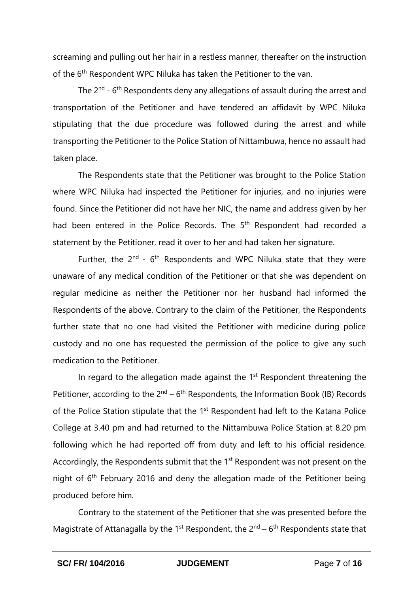screaming and pulling out her hair in a restless manner, thereafter on the instruction of the 6<sup>th</sup> Respondent WPC Niluka has taken the Petitioner to the van.

The 2<sup>nd</sup> - 6<sup>th</sup> Respondents deny any allegations of assault during the arrest and transportation of the Petitioner and have tendered an affidavit by WPC Niluka stipulating that the due procedure was followed during the arrest and while transporting the Petitioner to the Police Station of Nittambuwa, hence no assault had taken place.

The Respondents state that the Petitioner was brought to the Police Station where WPC Niluka had inspected the Petitioner for injuries, and no injuries were found. Since the Petitioner did not have her NIC, the name and address given by her had been entered in the Police Records. The 5<sup>th</sup> Respondent had recorded a statement by the Petitioner, read it over to her and had taken her signature.

Further, the  $2^{nd}$  -  $6^{th}$  Respondents and WPC Niluka state that they were unaware of any medical condition of the Petitioner or that she was dependent on regular medicine as neither the Petitioner nor her husband had informed the Respondents of the above. Contrary to the claim of the Petitioner, the Respondents further state that no one had visited the Petitioner with medicine during police custody and no one has requested the permission of the police to give any such medication to the Petitioner.

In regard to the allegation made against the  $1<sup>st</sup>$  Respondent threatening the Petitioner, according to the  $2^{nd}$  – 6<sup>th</sup> Respondents, the Information Book (IB) Records of the Police Station stipulate that the 1<sup>st</sup> Respondent had left to the Katana Police College at 3.40 pm and had returned to the Nittambuwa Police Station at 8.20 pm following which he had reported off from duty and left to his official residence. Accordingly, the Respondents submit that the 1<sup>st</sup> Respondent was not present on the night of  $6<sup>th</sup>$  February 2016 and deny the allegation made of the Petitioner being produced before him.

Contrary to the statement of the Petitioner that she was presented before the Magistrate of Attanagalla by the 1<sup>st</sup> Respondent, the  $2^{nd}$  – 6<sup>th</sup> Respondents state that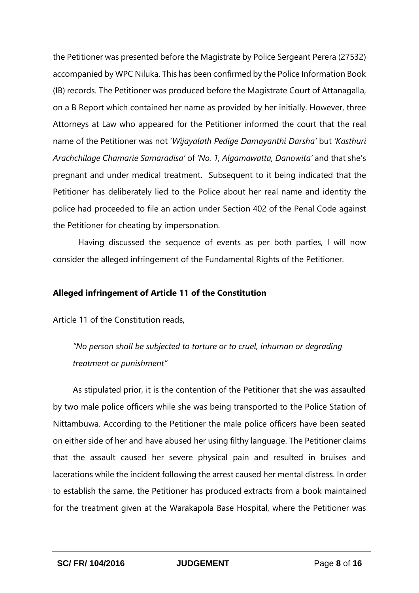the Petitioner was presented before the Magistrate by Police Sergeant Perera (27532) accompanied by WPC Niluka. This has been confirmed by the Police Information Book (IB) records. The Petitioner was produced before the Magistrate Court of Attanagalla, on a B Report which contained her name as provided by her initially. However, three Attorneys at Law who appeared for the Petitioner informed the court that the real name of the Petitioner was not '*Wijayalath Pedige Damayanthi Darsha'* but *'Kasthuri Arachchilage Chamarie Samaradisa'* of *'No. 1, Algamawatta, Danowita'* and that she's pregnant and under medical treatment. Subsequent to it being indicated that the Petitioner has deliberately lied to the Police about her real name and identity the police had proceeded to file an action under Section 402 of the Penal Code against the Petitioner for cheating by impersonation.

Having discussed the sequence of events as per both parties, I will now consider the alleged infringement of the Fundamental Rights of the Petitioner.

#### **Alleged infringement of Article 11 of the Constitution**

Article 11 of the Constitution reads,

*"No person shall be subjected to torture or to cruel, inhuman or degrading treatment or punishment"*

As stipulated prior, it is the contention of the Petitioner that she was assaulted by two male police officers while she was being transported to the Police Station of Nittambuwa. According to the Petitioner the male police officers have been seated on either side of her and have abused her using filthy language. The Petitioner claims that the assault caused her severe physical pain and resulted in bruises and lacerations while the incident following the arrest caused her mental distress. In order to establish the same, the Petitioner has produced extracts from a book maintained for the treatment given at the Warakapola Base Hospital, where the Petitioner was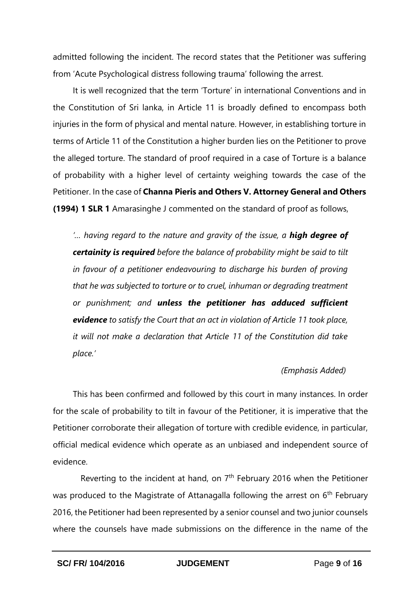admitted following the incident. The record states that the Petitioner was suffering from 'Acute Psychological distress following trauma' following the arrest.

It is well recognized that the term 'Torture' in international Conventions and in the Constitution of Sri lanka, in Article 11 is broadly defined to encompass both injuries in the form of physical and mental nature. However, in establishing torture in terms of Article 11 of the Constitution a higher burden lies on the Petitioner to prove the alleged torture. The standard of proof required in a case of Torture is a balance of probability with a higher level of certainty weighing towards the case of the Petitioner. In the case of **Channa Pieris and Others V. Attorney General and Others (1994) 1 SLR 1** Amarasinghe J commented on the standard of proof as follows,

*'… having regard to the nature and gravity of the issue, a high degree of certainity is required before the balance of probability might be said to tilt in favour of a petitioner endeavouring to discharge his burden of proving that he was subjected to torture or to cruel, inhuman or degrading treatment or punishment; and unless the petitioner has adduced sufficient evidence to satisfy the Court that an act in violation of Article 11 took place, it will not make a declaration that Article 11 of the Constitution did take place.'*

#### *(Emphasis Added)*

This has been confirmed and followed by this court in many instances. In order for the scale of probability to tilt in favour of the Petitioner, it is imperative that the Petitioner corroborate their allegation of torture with credible evidence, in particular, official medical evidence which operate as an unbiased and independent source of evidence.

Reverting to the incident at hand, on  $7<sup>th</sup>$  February 2016 when the Petitioner was produced to the Magistrate of Attanagalla following the arrest on 6<sup>th</sup> February 2016, the Petitioner had been represented by a senior counsel and two junior counsels where the counsels have made submissions on the difference in the name of the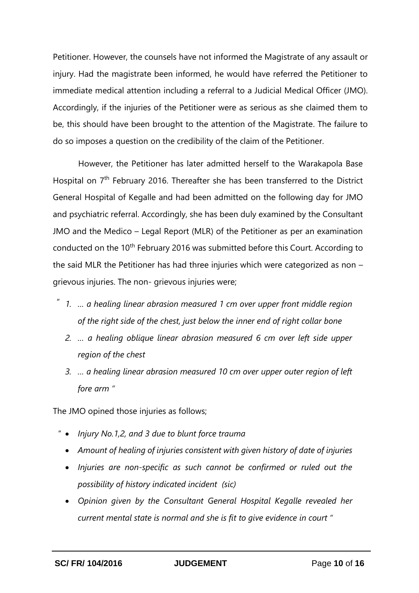Petitioner. However, the counsels have not informed the Magistrate of any assault or injury. Had the magistrate been informed, he would have referred the Petitioner to immediate medical attention including a referral to a Judicial Medical Officer (JMO). Accordingly, if the injuries of the Petitioner were as serious as she claimed them to be, this should have been brought to the attention of the Magistrate. The failure to do so imposes a question on the credibility of the claim of the Petitioner.

However, the Petitioner has later admitted herself to the Warakapola Base Hospital on 7<sup>th</sup> February 2016. Thereafter she has been transferred to the District General Hospital of Kegalle and had been admitted on the following day for JMO and psychiatric referral. Accordingly, she has been duly examined by the Consultant JMO and the Medico – Legal Report (MLR) of the Petitioner as per an examination conducted on the 10<sup>th</sup> February 2016 was submitted before this Court. According to the said MLR the Petitioner has had three injuries which were categorized as non – grievous injuries. The non- grievous injuries were;

- *1. … a healing linear abrasion measured 1 cm over upper front middle region of the right side of the chest, just below the inner end of right collar bone* "
	- *2. … a healing oblique linear abrasion measured 6 cm over left side upper region of the chest*
	- *3. … a healing linear abrasion measured 10 cm over upper outer region of left fore arm "*

The JMO opined those injuries as follows;

- *Injury No.1,2, and 3 due to blunt force trauma*  "
	- *Amount of healing of injuries consistent with given history of date of injuries*
	- *Injuries are non-specific as such cannot be confirmed or ruled out the possibility of history indicated incident (sic)*
	- *Opinion given by the Consultant General Hospital Kegalle revealed her current mental state is normal and she is fit to give evidence in court "*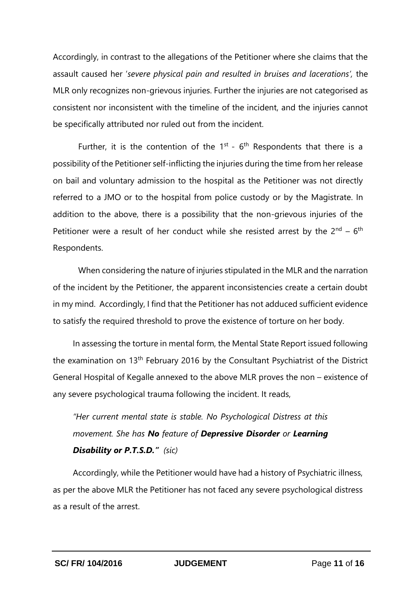Accordingly, in contrast to the allegations of the Petitioner where she claims that the assault caused her '*severe physical pain and resulted in bruises and lacerations',* the MLR only recognizes non-grievous injuries. Further the injuries are not categorised as consistent nor inconsistent with the timeline of the incident, and the injuries cannot be specifically attributed nor ruled out from the incident.

Further, it is the contention of the  $1^{st}$  -  $6^{th}$  Respondents that there is a possibility of the Petitioner self-inflicting the injuries during the time from her release on bail and voluntary admission to the hospital as the Petitioner was not directly referred to a JMO or to the hospital from police custody or by the Magistrate. In addition to the above, there is a possibility that the non-grievous injuries of the Petitioner were a result of her conduct while she resisted arrest by the 2<sup>nd</sup> – 6<sup>th</sup> Respondents.

When considering the nature of injuries stipulated in the MLR and the narration of the incident by the Petitioner, the apparent inconsistencies create a certain doubt in my mind. Accordingly, I find that the Petitioner has not adduced sufficient evidence to satisfy the required threshold to prove the existence of torture on her body.

In assessing the torture in mental form, the Mental State Report issued following the examination on 13<sup>th</sup> February 2016 by the Consultant Psychiatrist of the District General Hospital of Kegalle annexed to the above MLR proves the non – existence of any severe psychological trauma following the incident. It reads,

*"Her current mental state is stable. No Psychological Distress at this movement. She has No feature of Depressive Disorder or Learning Disability or P.T.S.D." (sic)*

Accordingly, while the Petitioner would have had a history of Psychiatric illness, as per the above MLR the Petitioner has not faced any severe psychological distress as a result of the arrest.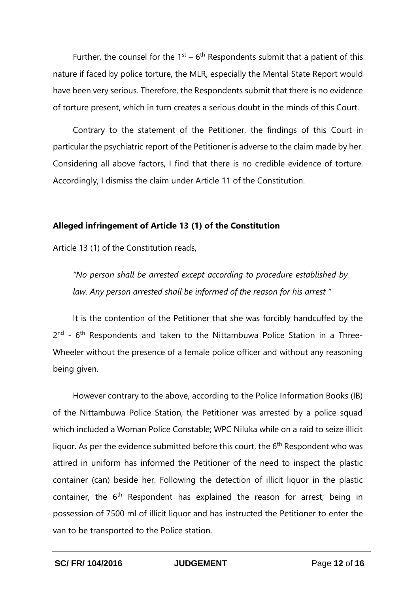Further, the counsel for the  $1<sup>st</sup> - 6<sup>th</sup>$  Respondents submit that a patient of this nature if faced by police torture, the MLR, especially the Mental State Report would have been very serious. Therefore, the Respondents submit that there is no evidence of torture present, which in turn creates a serious doubt in the minds of this Court.

Contrary to the statement of the Petitioner, the findings of this Court in particular the psychiatric report of the Petitioner is adverse to the claim made by her. Considering all above factors, I find that there is no credible evidence of torture. Accordingly, I dismiss the claim under Article 11 of the Constitution.

#### **Alleged infringement of Article 13 (1) of the Constitution**

Article 13 (1) of the Constitution reads,

*"No person shall be arrested except according to procedure established by law. Any person arrested shall be informed of the reason for his arrest "*

It is the contention of the Petitioner that she was forcibly handcuffed by the 2<sup>nd</sup> - 6<sup>th</sup> Respondents and taken to the Nittambuwa Police Station in a Three-Wheeler without the presence of a female police officer and without any reasoning being given.

However contrary to the above, according to the Police Information Books (IB) of the Nittambuwa Police Station, the Petitioner was arrested by a police squad which included a Woman Police Constable; WPC Niluka while on a raid to seize illicit liquor. As per the evidence submitted before this court, the 6<sup>th</sup> Respondent who was attired in uniform has informed the Petitioner of the need to inspect the plastic container (can) beside her. Following the detection of illicit liquor in the plastic container, the  $6<sup>th</sup>$  Respondent has explained the reason for arrest; being in possession of 7500 ml of illicit liquor and has instructed the Petitioner to enter the van to be transported to the Police station.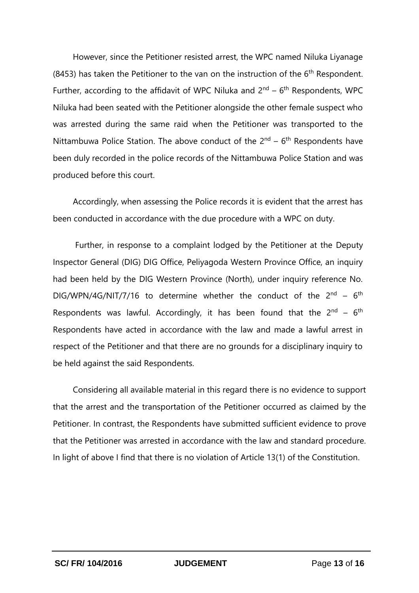However, since the Petitioner resisted arrest, the WPC named Niluka Liyanage (8453) has taken the Petitioner to the van on the instruction of the  $6<sup>th</sup>$  Respondent. Further, according to the affidavit of WPC Niluka and  $2^{nd}$  – 6<sup>th</sup> Respondents, WPC Niluka had been seated with the Petitioner alongside the other female suspect who was arrested during the same raid when the Petitioner was transported to the Nittambuwa Police Station. The above conduct of the  $2^{nd}$  –  $6^{th}$  Respondents have been duly recorded in the police records of the Nittambuwa Police Station and was produced before this court.

Accordingly, when assessing the Police records it is evident that the arrest has been conducted in accordance with the due procedure with a WPC on duty.

Further, in response to a complaint lodged by the Petitioner at the Deputy Inspector General (DIG) DIG Office, Peliyagoda Western Province Office, an inquiry had been held by the DIG Western Province (North), under inquiry reference No. DIG/WPN/4G/NIT/7/16 to determine whether the conduct of the  $2^{nd}$  – 6<sup>th</sup> Respondents was lawful. Accordingly, it has been found that the  $2^{nd} - 6^{th}$ Respondents have acted in accordance with the law and made a lawful arrest in respect of the Petitioner and that there are no grounds for a disciplinary inquiry to be held against the said Respondents.

Considering all available material in this regard there is no evidence to support that the arrest and the transportation of the Petitioner occurred as claimed by the Petitioner. In contrast, the Respondents have submitted sufficient evidence to prove that the Petitioner was arrested in accordance with the law and standard procedure. In light of above I find that there is no violation of Article 13(1) of the Constitution.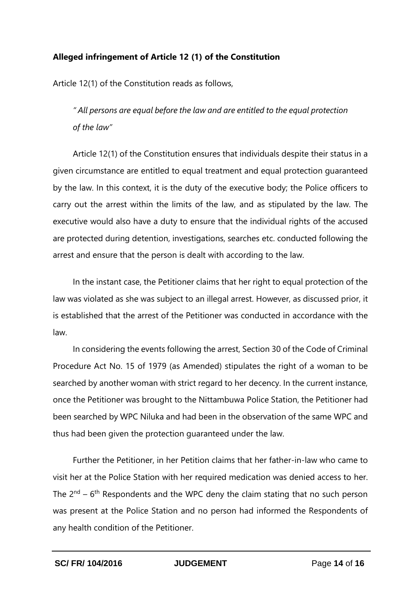# **Alleged infringement of Article 12 (1) of the Constitution**

Article 12(1) of the Constitution reads as follows,

*" All persons are equal before the law and are entitled to the equal protection of the law"* 

Article 12(1) of the Constitution ensures that individuals despite their status in a given circumstance are entitled to equal treatment and equal protection guaranteed by the law. In this context, it is the duty of the executive body; the Police officers to carry out the arrest within the limits of the law, and as stipulated by the law. The executive would also have a duty to ensure that the individual rights of the accused are protected during detention, investigations, searches etc. conducted following the arrest and ensure that the person is dealt with according to the law.

In the instant case, the Petitioner claims that her right to equal protection of the law was violated as she was subject to an illegal arrest. However, as discussed prior, it is established that the arrest of the Petitioner was conducted in accordance with the law.

In considering the events following the arrest, Section 30 of the Code of Criminal Procedure Act No. 15 of 1979 (as Amended) stipulates the right of a woman to be searched by another woman with strict regard to her decency. In the current instance, once the Petitioner was brought to the Nittambuwa Police Station, the Petitioner had been searched by WPC Niluka and had been in the observation of the same WPC and thus had been given the protection guaranteed under the law.

Further the Petitioner, in her Petition claims that her father-in-law who came to visit her at the Police Station with her required medication was denied access to her. The  $2^{nd}$  – 6<sup>th</sup> Respondents and the WPC deny the claim stating that no such person was present at the Police Station and no person had informed the Respondents of any health condition of the Petitioner.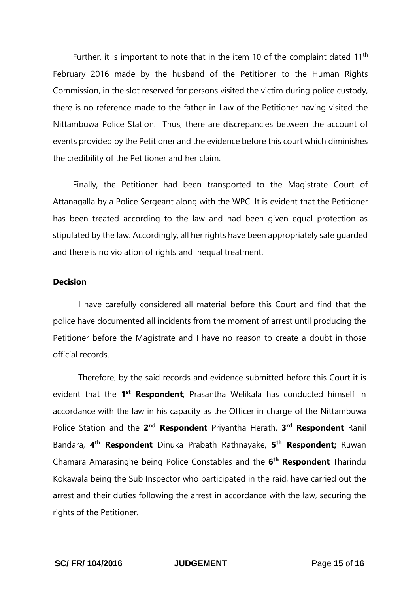Further, it is important to note that in the item 10 of the complaint dated 11<sup>th</sup> February 2016 made by the husband of the Petitioner to the Human Rights Commission, in the slot reserved for persons visited the victim during police custody, there is no reference made to the father-in-Law of the Petitioner having visited the Nittambuwa Police Station. Thus, there are discrepancies between the account of events provided by the Petitioner and the evidence before this court which diminishes the credibility of the Petitioner and her claim.

Finally, the Petitioner had been transported to the Magistrate Court of Attanagalla by a Police Sergeant along with the WPC. It is evident that the Petitioner has been treated according to the law and had been given equal protection as stipulated by the law. Accordingly, all her rights have been appropriately safe guarded and there is no violation of rights and inequal treatment.

## **Decision**

I have carefully considered all material before this Court and find that the police have documented all incidents from the moment of arrest until producing the Petitioner before the Magistrate and I have no reason to create a doubt in those official records.

Therefore, by the said records and evidence submitted before this Court it is evident that the 1<sup>st</sup> Respondent; Prasantha Welikala has conducted himself in accordance with the law in his capacity as the Officer in charge of the Nittambuwa Police Station and the 2<sup>nd</sup> Respondent Priyantha Herath, 3<sup>rd</sup> Respondent Ranil Bandara, **4 th Respondent** Dinuka Prabath Rathnayake, **5 th Respondent;** Ruwan Chamara Amarasinghe being Police Constables and the **6 th Respondent** Tharindu Kokawala being the Sub Inspector who participated in the raid, have carried out the arrest and their duties following the arrest in accordance with the law, securing the rights of the Petitioner.